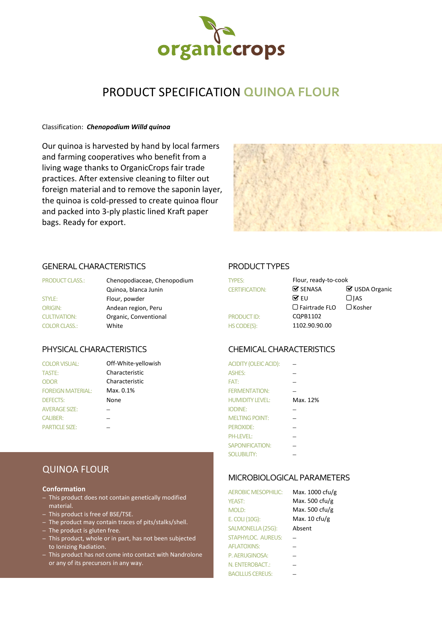

# PRODUCT SPECIFICATION **QUINOA FLOUR**

## Classification: *Chenopodium Willd quinoa*

Our quinoa is harvested by hand by local farmers and farming cooperatives who benefit from a living wage thanks to OrganicCrops fair trade practices. After extensive cleaning to filter out foreign material and to remove the saponin layer, the quinoa is cold-pressed to create quinoa flour and packed into 3-ply plastic lined Kraft paper bags. Ready for export.



## GENERAL CHARACTERISTICS PRODUCT TYPES

| <b>PRODUCT CLASS.:</b> |  |
|------------------------|--|
| STYLE:                 |  |
| <b>ORIGIN:</b>         |  |
| <b>CULTIVATION:</b>    |  |
| COLOR CLASS.           |  |

| <b>COLOR VISUAL:</b>     | Off-White-yellowish | <b>ACIDITY (OLEIC ACID):</b> |   |
|--------------------------|---------------------|------------------------------|---|
| <b>TASTE:</b>            | Characteristic      | <b>ASHES:</b>                |   |
| <b>ODOR</b>              | Characteristic      | FAT:                         |   |
| <b>FOREIGN MATERIAL:</b> | Max. 0.1%           | <b>FERMENTATION:</b>         |   |
| <b>DEFECTS:</b>          | None                | <b>HUMIDITY LEVEL:</b>       | N |
| <b>AVERAGE SIZE:</b>     |                     | <b>IODINE:</b>               |   |
| <b>CALIBER:</b>          |                     | <b>MELTING POINT:</b>        |   |
| <b>PARTICLE SIZE:</b>    |                     | $PFROXIDF+$                  | – |

| <b>PRODUCT CLASS.:</b> | Chenopodiaceae, Chenopodium<br><b>TYPES:</b> |                       | Flour, ready-to-cook          |                |
|------------------------|----------------------------------------------|-----------------------|-------------------------------|----------------|
|                        | Quinoa, blanca Junin                         | <b>CERTIFICATION:</b> | $\mathbf{\mathcal{G}}$ SENASA | ■ USDA Organic |
| <b>STYLE:</b>          | Flour, powder                                |                       | $\mathbf{\nabla}$ EU          | $\Box$ IAS     |
| ORIGIN:                | Andean region, Peru                          |                       | $\Box$ Fairtrade FLO          | $\Box$ Kosher  |
| <b>CULTIVATION:</b>    | Organic, Conventional                        | <b>PRODUCT ID:</b>    | CQPB1102                      |                |
| <b>COLOR CLASS.:</b>   | White                                        | HS CODE(S):           | 1102.90.90.00                 |                |
|                        |                                              |                       |                               |                |

## PHYSICAL CHARACTERISTICS CHEMICAL CHARACTERISTICS

| <b>COLOR VISUAL:</b>     | Off-White-yellowish | <b>ACIDITY (OLEIC ACID):</b> |          |
|--------------------------|---------------------|------------------------------|----------|
| TASTE:                   | Characteristic      | <b>ASHES:</b>                |          |
| <b>ODOR</b>              | Characteristic      | FAT:                         |          |
| <b>FOREIGN MATERIAL:</b> | Max. 0.1%           | <b>FERMENTATION:</b>         |          |
| <b>DEFECTS:</b>          | None                | <b>HUMIDITY LEVEL:</b>       | Max. 12% |
| <b>AVERAGE SIZE:</b>     |                     | <b>IODINE:</b>               |          |
| <b>CALIBER:</b>          |                     | <b>MELTING POINT:</b>        |          |
| <b>PARTICLE SIZE:</b>    |                     | PEROXIDE:                    |          |
|                          |                     | <b>PH-LEVEL:</b>             |          |
|                          |                     | <b>SAPONIFICATION:</b>       |          |
|                          |                     | <b>SOLUBILITY:</b>           |          |

## MICROBIOLOGICAL PARAMETERS

| <b>AEROBIC MESOPHILIC:</b> | Max. 1000 cfu/g |
|----------------------------|-----------------|
| <b>YEAST:</b>              | Max. 500 cfu/g  |
| MOLD:                      | Max. 500 cfu/g  |
| E. COLI (10G):             | Max. 10 cfu/g   |
| SALMONELLA (25G):          | Absent          |
| STAPHYLOC. AUREUS:         |                 |
| <b>AFLATOXINS:</b>         |                 |
| P. AERUGINOSA:             |                 |
| N. ENTEROBACT.:            |                 |
| <b>BACILLUS CEREUS:</b>    |                 |

# QUINOA FLOUR

## **Conformation**

- This product does not contain genetically modified material.
- This product is free of BSE/TSE.
- The product may contain traces of pits/stalks/shell.
- The product is gluten free.
- This product, whole or in part, has not been subjected to Ionizing Radiation.
- This product has not come into contact with Nandrolone or any of its precursors in any way.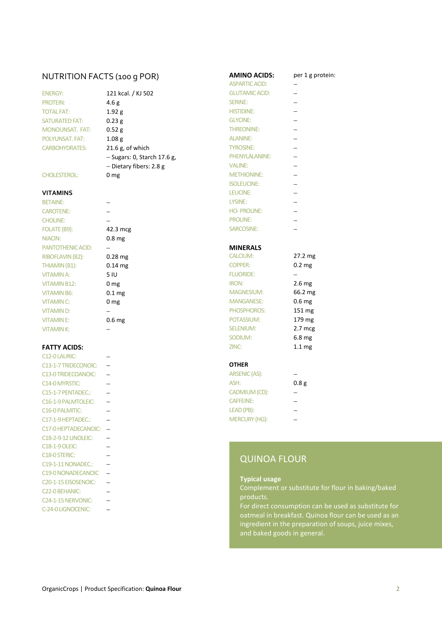# NUTRITION FACTS (100 g POR) **AMINO ACIDS:** per 1 g protein:<br>ASPARTIC ACID:  $\frac{1}{2}$

| <b>ENERGY:</b>         |
|------------------------|
| <b>PROTEIN:</b>        |
| <b>TOTAL FAT:</b>      |
| <b>SATURATED FAT:</b>  |
| <b>MONOUNSAT, FAT:</b> |
| POI YUNSAT, FAT:       |
| <b>CARBOHYDRATES:</b>  |

NIACIN: 0.8 mg PANTOTHENIC ACID: − **− MINERALS** RIBOFLAVIN (B2): 0.28 mg THIAMIN (B1):  $0.14 \text{ mg}$  COPPERS: 0.2 mg VITAMIN B12: 0 mg VITAMIN B6:  $0.1 \text{ mg}$  M VITAMIN C:  $0 \text{ mg}$  M VITAMIN D: − → PHOSPHOROS VITAMIN E: 0.6 mg POTASSIUM: 179 mg POTASSIUM: 179 mg POTASSIUM: 179 mg POTASSIUM: 179 mg POTASSIUM: 179 mg POT

| C12-0 LAURIC:                     |                 |
|-----------------------------------|-----------------|
| C13-1-7 TRIDECONOIC:              | <b>OTHER</b>    |
| C13-0 TRIDECOANOIC:               | <b>ARSENIC</b>  |
| C <sub>14</sub> -0 MYRSTIC:       | ASH:            |
| C15-1-7 PENTADEC.:                | <b>CADMIU</b>   |
| C <sub>16</sub> -1-9 PALMTOLEIC:  | <b>CAFFEIN</b>  |
| C <sub>16</sub> -0 PALMITIC:      | <b>LEAD (PE</b> |
| C17-1-9 HEPTADEC.:                | <b>MERCUF</b>   |
| C17-0 HEPTADECANOIC: -            |                 |
| <b>C18-2-9-12 LINOLEIC:</b>       |                 |
| <b>C18-1-9 OLEIC:</b>             |                 |
| C <sub>18</sub> -0 STERIC:        | Q١              |
| C19-1-11 NONADEC.:                |                 |
| C19-0 NONADECANOIC                |                 |
| C <sub>20</sub> -1-15 EISOSENOIC: | <b>Typ</b>      |
| C22-0 BEHANIC:                    | Cor             |
| C <sub>24</sub> -1-15 NERVONIC:   | pro             |
| C-24-0 LIGNOCENIC:                | For             |

|                        |                               | <b>ASPARTIC ACID:</b> |  |
|------------------------|-------------------------------|-----------------------|--|
| <b>ENERGY:</b>         | 121 kcal. / KJ 502            | <b>GLUTAMIC ACID:</b> |  |
| <b>PROTEIN:</b>        | 4.6 <sub>g</sub>              | <b>SERINE:</b>        |  |
| <b>TOTAL FAT:</b>      | 1.92 g                        | <b>HISTIDINE:</b>     |  |
| <b>SATURATED FAT:</b>  | 0.23 g                        | <b>GLYCINE:</b>       |  |
| <b>MONOUNSAT, FAT:</b> | 0.52 g                        | <b>THREONINE:</b>     |  |
| <b>POLYUNSAT, FAT:</b> | 1.08 <sub>g</sub>             | <b>ALANINE:</b>       |  |
| <b>CARBOHYDRATES:</b>  | $21.6$ g, of which            | <b>TYROSINE:</b>      |  |
|                        | $-$ Sugars: 0, Starch 17.6 g, | PHENYLALANINE:        |  |
|                        | $-$ Dietary fibers: 2.8 g     | <b>VALINE:</b>        |  |
| <b>CHOLESTEROL:</b>    | 0 <sub>mg</sub>               | <b>METHIONINE:</b>    |  |

| .6g,<br>.<br>' |  |  |
|----------------|--|--|

# ASPARTIC ACID: ENERGY: 121 GLUTAMIC ACID: − HISTIDINE: − TYROSINE: − ISOLEUCINE: − **VITAMINS** LEUCINE: − BETAINE: − LYSINE: −

CAROTENE: − HO- PROLINE: − CHOLINE: − − − PROLINE: − FOLATE (B9): 42.3 mcg SARCOSINE: −

| RIBOFLAVIN (B2):    | $0.28$ mg         | CALCIUM:          | $27.2 \text{ mg}$ |
|---------------------|-------------------|-------------------|-------------------|
| THIAMIN (B1):       | $0.14$ mg         | <b>COPPER:</b>    | 0.2 <sub>mg</sub> |
| <b>VITAMIN A:</b>   | 5 IU              | <b>FLUORIDE:</b>  |                   |
| <b>VITAMIN B12:</b> | 0 <sub>mg</sub>   | IRON:             | $2.6 \text{ mg}$  |
| <b>VITAMIN B6:</b>  | 0.1 <sub>mg</sub> | <b>MAGNESIUM:</b> | 66.2 mg           |
| <b>VITAMIN C:</b>   | 0 <sub>mg</sub>   | <b>MANGANESE:</b> | 0.6 <sub>mg</sub> |
| <b>VITAMIND:</b>    |                   | PHOSPHOROS:       | $151 \text{ mg}$  |
| <b>VITAMINE:</b>    | 0.6 <sub>mg</sub> | POTASSIUM:        | 179 mg            |
| <b>VITAMINK:</b>    |                   | <b>SELENIUM:</b>  | $2.7 \text{ mcg}$ |
|                     |                   | SODIUM:           | 6.8 <sub>mg</sub> |
| <b>FATTY ACIDS:</b> |                   | ZINC:             | 1.1 <sub>mg</sub> |

| <b>C13-0 TRIDECOANOIC:</b> | ARSENIC (AS):        |      |
|----------------------------|----------------------|------|
| C14-0 MYRSTIC:             | ASH:                 | 0.8g |
| C15-1-7 PENTADEC.:         | CADMIUM (CD):        |      |
| C16-1-9 PALMTOLEIC:        | <b>CAFFEINE:</b>     |      |
| C16-0 PALMITIC:            | LEAD (PB):           |      |
| C17-1-9 HEPTADEC.:         | <b>MERCURY (HG):</b> |      |

# QUINOA FLOUR

## **Typical usage**

Complement or substitute for flour in baking/baked products.

For direct consumption can be used as substitute for oatmeal in breakfast. Quinoa flour can be used as an ingredient in the preparation of soups, juice mixes, and baked goods in general.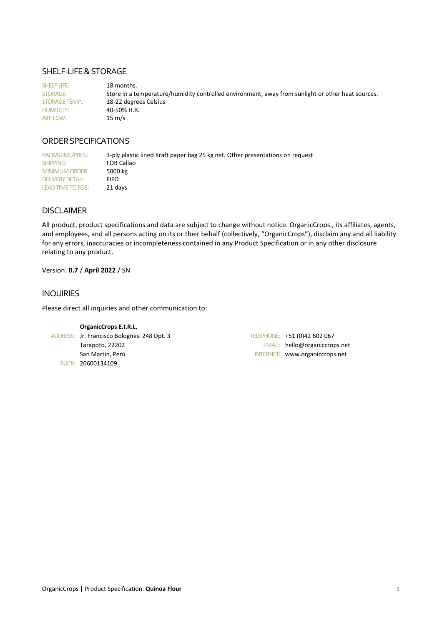## SHELF-LIFE & STORAGE

SHELF-LIFE: 18 months. STORAGE: Store in a temperature/humidity controlled environment, away from sunlight or other heat sources. STORAGE TEMP.: 18-22 degrees Celsius HUMIDITY: 40-50% H.R. AIRFLOW: 15 m/s

## ORDER SPECIFICATIONS

PACKAGING/PRES.: 3-ply plastic lined Kraft paper bag 25 kg net. Other presentations on request SHIPPING: FOB Callao<br>MINIMUM ORDER: 5000 kg MINIMUM ORDER: DELIVERY DETAIL: FIFO LEAD TIME TO FOB: 21 days

## DISCLAIMER

All product, product specifications and data are subject to change without notice. OrganicCrops., its affiliates, agents, and employees, and all persons acting on its or their behalf (collectively, "OrganicCrops"), disclaim any and all liability for any errors, inaccuracies or incompleteness contained in any Product Specification or in any other disclosure relating to any product.

## Version: **0.7** / **April 2022** / SN

## INQUIRIES

Please direct all inquiries and other communication to:

| <b>OrganicCrops E.I.R.L.</b>                |                                |
|---------------------------------------------|--------------------------------|
| ADDRESS: Jr. Francisco Bolognesi 248 Dpt. 3 | TELEPHONE: +51 (0)42 602 067   |
| Tarapoto, 22202                             | EMAIL: hello@organiccrops.net  |
| San Martin, Perú                            | INTERNET: www.organiccrops.net |
| RUC#: 20600134109                           |                                |